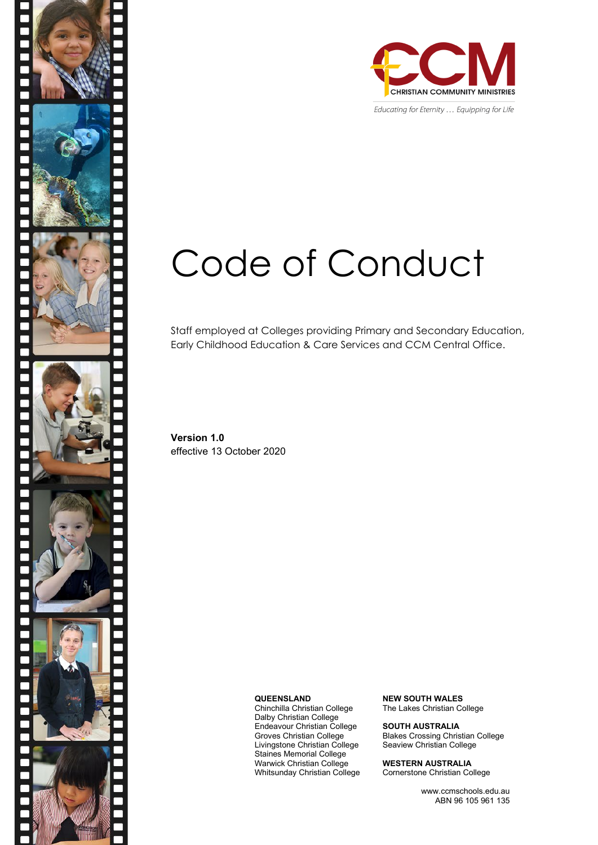

Educating for Eternity ... Equipping for Life

# Code of Conduct

Staff employed at Colleges providing Primary and Secondary Education, Early Childhood Education & Care Services and CCM Central Office.

**Version 1.0** effective 13 October 2020

**QUEENSLAND**

Chinchilla Christian College Dalby Christian College Endeavour Christian College Groves Christian College Livingstone Christian College Staines Memorial College Warwick Christian College Whitsunday Christian College **NEW SOUTH WALES** The Lakes Christian College

**SOUTH AUSTRALIA** Blakes Crossing Christian College Seaview Christian College

**WESTERN AUSTRALIA** Cornerstone Christian College

> www.ccmschools.edu.au ABN 96 105 961 135

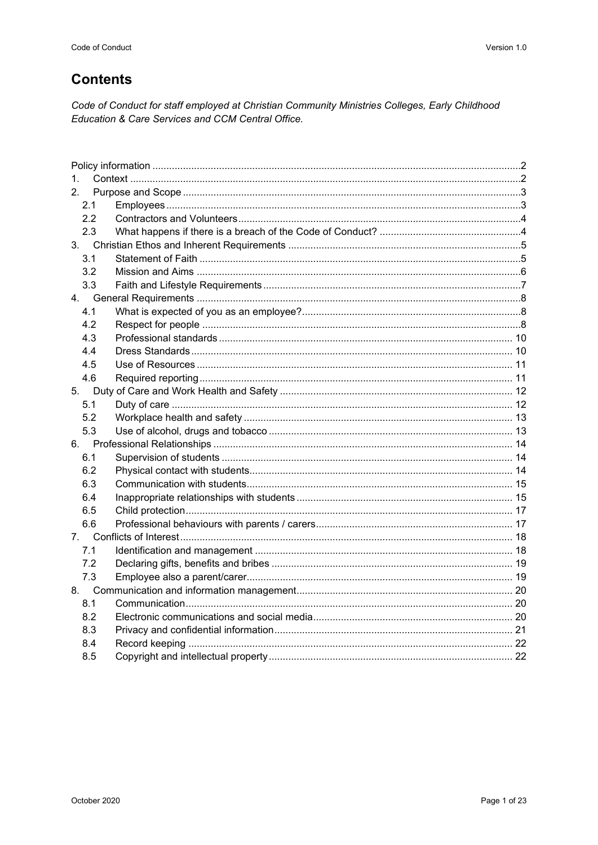#### **Contents**

Code of Conduct for staff employed at Christian Community Ministries Colleges, Early Childhood Education & Care Services and CCM Central Office.

| $1_{-}$ |  |
|---------|--|
| 2.      |  |
| 2.1     |  |
| 2.2     |  |
| 2.3     |  |
|         |  |
| 3.1     |  |
| 3.2     |  |
| 3.3     |  |
| 4.      |  |
| 4.1     |  |
| 4.2     |  |
| 4.3     |  |
| 4.4     |  |
| 4.5     |  |
| 4.6     |  |
| 5.      |  |
| 5.1     |  |
| 5.2     |  |
| 5.3     |  |
| 6.      |  |
| 6.1     |  |
| 6.2     |  |
| 6.3     |  |
| 6.4     |  |
| 6.5     |  |
| 6.6     |  |
| 7.      |  |
| 7.1     |  |
| 7.2     |  |
| 7.3     |  |
|         |  |
| 8.1     |  |
| 8.2     |  |
| 8.3     |  |
| 8.4     |  |
| 8.5     |  |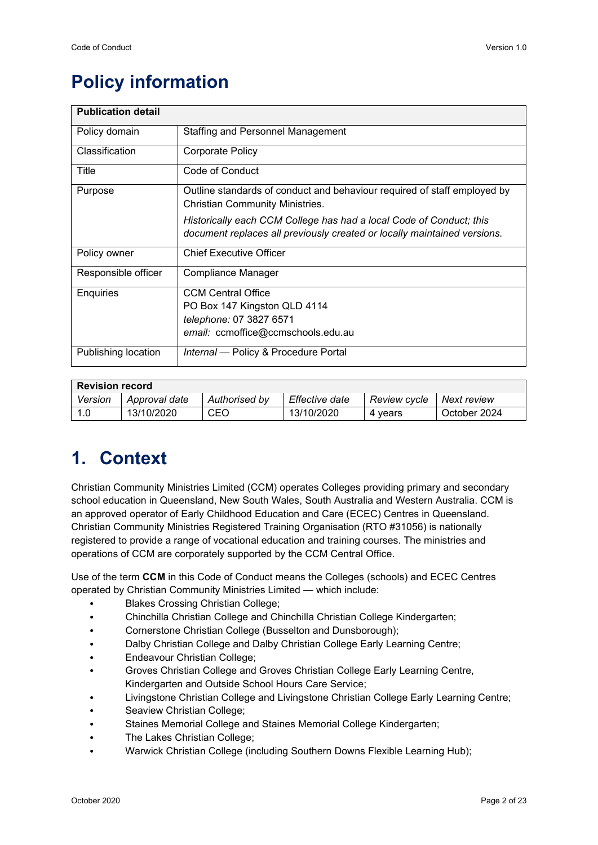# <span id="page-2-0"></span>**Policy information**

| <b>Publication detail</b> |                                                                                                                                                 |  |  |  |  |  |  |  |
|---------------------------|-------------------------------------------------------------------------------------------------------------------------------------------------|--|--|--|--|--|--|--|
| Policy domain             | <b>Staffing and Personnel Management</b>                                                                                                        |  |  |  |  |  |  |  |
| Classification            | Corporate Policy                                                                                                                                |  |  |  |  |  |  |  |
| Title                     | Code of Conduct                                                                                                                                 |  |  |  |  |  |  |  |
| Purpose                   | Outline standards of conduct and behaviour required of staff employed by<br><b>Christian Community Ministries.</b>                              |  |  |  |  |  |  |  |
|                           | Historically each CCM College has had a local Code of Conduct; this<br>document replaces all previously created or locally maintained versions. |  |  |  |  |  |  |  |
| Policy owner              | <b>Chief Executive Officer</b>                                                                                                                  |  |  |  |  |  |  |  |
| Responsible officer       | Compliance Manager                                                                                                                              |  |  |  |  |  |  |  |
| Enquiries                 | <b>CCM Central Office</b>                                                                                                                       |  |  |  |  |  |  |  |
|                           | PO Box 147 Kingston QLD 4114                                                                                                                    |  |  |  |  |  |  |  |
|                           | telephone: 07 3827 6571                                                                                                                         |  |  |  |  |  |  |  |
|                           | email: ccmoffice@ccmschools.edu.au                                                                                                              |  |  |  |  |  |  |  |
| Publishing location       | Internal - Policy & Procedure Portal                                                                                                            |  |  |  |  |  |  |  |

| <b>Revision record</b> |               |               |                |              |              |  |  |  |  |
|------------------------|---------------|---------------|----------------|--------------|--------------|--|--|--|--|
| Version                | Approval date | Authorised by | Effective date | Review cycle | Next review  |  |  |  |  |
| 1.0                    | 13/10/2020    | <b>CEO</b>    | 13/10/2020     | 4 vears      | October 2024 |  |  |  |  |

## <span id="page-2-1"></span>**1. Context**

Christian Community Ministries Limited (CCM) operates Colleges providing primary and secondary school education in Queensland, New South Wales, South Australia and Western Australia. CCM is an approved operator of Early Childhood Education and Care (ECEC) Centres in Queensland. Christian Community Ministries Registered Training Organisation (RTO #31056) is nationally registered to provide a range of vocational education and training courses. The ministries and operations of CCM are corporately supported by the CCM Central Office.

Use of the term **CCM** in this Code of Conduct means the Colleges (schools) and ECEC Centres operated by Christian Community Ministries Limited — which include:

- Blakes Crossing Christian College;
- Chinchilla Christian College and Chinchilla Christian College Kindergarten;
- Cornerstone Christian College (Busselton and Dunsborough);
- Dalby Christian College and Dalby Christian College Early Learning Centre;
- Endeavour Christian College;
- Groves Christian College and Groves Christian College Early Learning Centre,
- Kindergarten and Outside School Hours Care Service;
- Livingstone Christian College and Livingstone Christian College Early Learning Centre;
- Seaview Christian College:
- Staines Memorial College and Staines Memorial College Kindergarten;
- The Lakes Christian College;
- Warwick Christian College (including Southern Downs Flexible Learning Hub);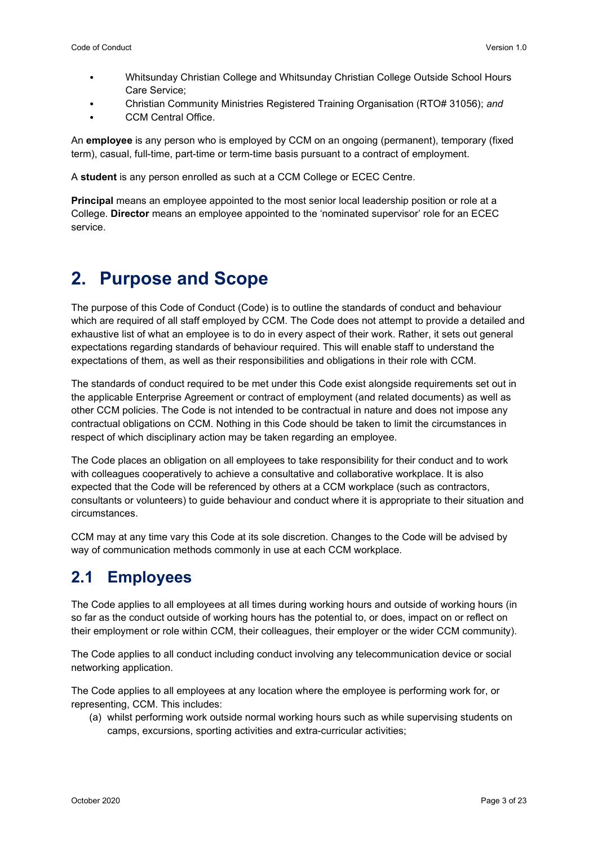- Whitsunday Christian College and Whitsunday Christian College Outside School Hours Care Service;
- Christian Community Ministries Registered Training Organisation (RTO# 31056); *and*
- CCM Central Office.

An **employee** is any person who is employed by CCM on an ongoing (permanent), temporary (fixed term), casual, full-time, part-time or term-time basis pursuant to a contract of employment.

A **student** is any person enrolled as such at a CCM College or ECEC Centre.

**Principal** means an employee appointed to the most senior local leadership position or role at a College. **Director** means an employee appointed to the 'nominated supervisor' role for an ECEC service.

## <span id="page-3-0"></span>**2. Purpose and Scope**

The purpose of this Code of Conduct (Code) is to outline the standards of conduct and behaviour which are required of all staff employed by CCM. The Code does not attempt to provide a detailed and exhaustive list of what an employee is to do in every aspect of their work. Rather, it sets out general expectations regarding standards of behaviour required. This will enable staff to understand the expectations of them, as well as their responsibilities and obligations in their role with CCM.

The standards of conduct required to be met under this Code exist alongside requirements set out in the applicable Enterprise Agreement or contract of employment (and related documents) as well as other CCM policies. The Code is not intended to be contractual in nature and does not impose any contractual obligations on CCM. Nothing in this Code should be taken to limit the circumstances in respect of which disciplinary action may be taken regarding an employee.

The Code places an obligation on all employees to take responsibility for their conduct and to work with colleagues cooperatively to achieve a consultative and collaborative workplace. It is also expected that the Code will be referenced by others at a CCM workplace (such as contractors, consultants or volunteers) to guide behaviour and conduct where it is appropriate to their situation and circumstances.

CCM may at any time vary this Code at its sole discretion. Changes to the Code will be advised by way of communication methods commonly in use at each CCM workplace.

## <span id="page-3-1"></span>**2.1 Employees**

The Code applies to all employees at all times during working hours and outside of working hours (in so far as the conduct outside of working hours has the potential to, or does, impact on or reflect on their employment or role within CCM, their colleagues, their employer or the wider CCM community).

The Code applies to all conduct including conduct involving any telecommunication device or social networking application.

The Code applies to all employees at any location where the employee is performing work for, or representing, CCM. This includes:

(a) whilst performing work outside normal working hours such as while supervising students on camps, excursions, sporting activities and extra-curricular activities;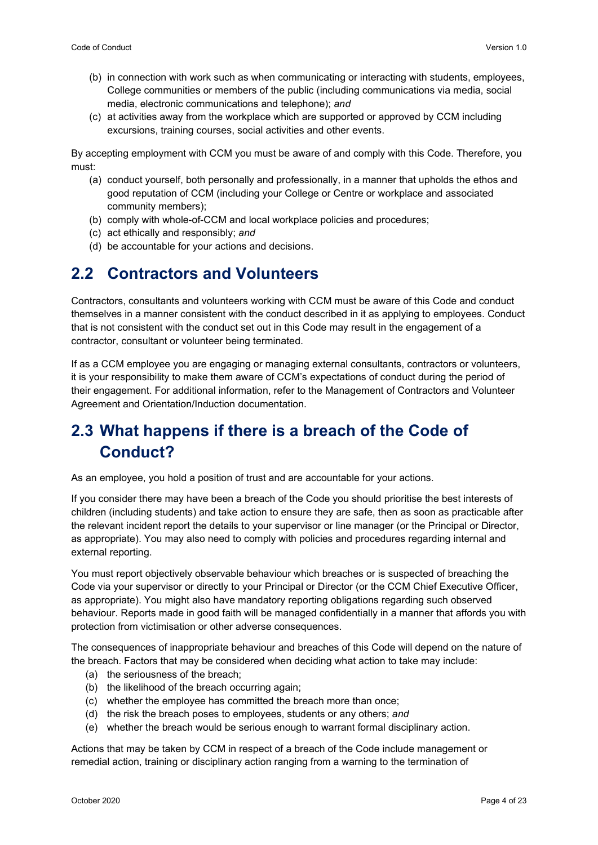- (b) in connection with work such as when communicating or interacting with students, employees, College communities or members of the public (including communications via media, social media, electronic communications and telephone); *and*
- (c) at activities away from the workplace which are supported or approved by CCM including excursions, training courses, social activities and other events.

By accepting employment with CCM you must be aware of and comply with this Code. Therefore, you must:

- (a) conduct yourself, both personally and professionally, in a manner that upholds the ethos and good reputation of CCM (including your College or Centre or workplace and associated community members);
- (b) comply with whole-of-CCM and local workplace policies and procedures;
- (c) act ethically and responsibly; *and*
- (d) be accountable for your actions and decisions.

## <span id="page-4-0"></span>**2.2 Contractors and Volunteers**

Contractors, consultants and volunteers working with CCM must be aware of this Code and conduct themselves in a manner consistent with the conduct described in it as applying to employees. Conduct that is not consistent with the conduct set out in this Code may result in the engagement of a contractor, consultant or volunteer being terminated.

If as a CCM employee you are engaging or managing external consultants, contractors or volunteers, it is your responsibility to make them aware of CCM's expectations of conduct during the period of their engagement. For additional information, refer to the Management of Contractors and Volunteer Agreement and Orientation/Induction documentation.

## <span id="page-4-1"></span>**2.3 What happens if there is a breach of the Code of Conduct?**

As an employee, you hold a position of trust and are accountable for your actions.

If you consider there may have been a breach of the Code you should prioritise the best interests of children (including students) and take action to ensure they are safe, then as soon as practicable after the relevant incident report the details to your supervisor or line manager (or the Principal or Director, as appropriate). You may also need to comply with policies and procedures regarding internal and external reporting.

You must report objectively observable behaviour which breaches or is suspected of breaching the Code via your supervisor or directly to your Principal or Director (or the CCM Chief Executive Officer, as appropriate). You might also have mandatory reporting obligations regarding such observed behaviour. Reports made in good faith will be managed confidentially in a manner that affords you with protection from victimisation or other adverse consequences.

The consequences of inappropriate behaviour and breaches of this Code will depend on the nature of the breach. Factors that may be considered when deciding what action to take may include:

- (a) the seriousness of the breach;
- (b) the likelihood of the breach occurring again;
- (c) whether the employee has committed the breach more than once;
- (d) the risk the breach poses to employees, students or any others; *and*
- (e) whether the breach would be serious enough to warrant formal disciplinary action.

Actions that may be taken by CCM in respect of a breach of the Code include management or remedial action, training or disciplinary action ranging from a warning to the termination of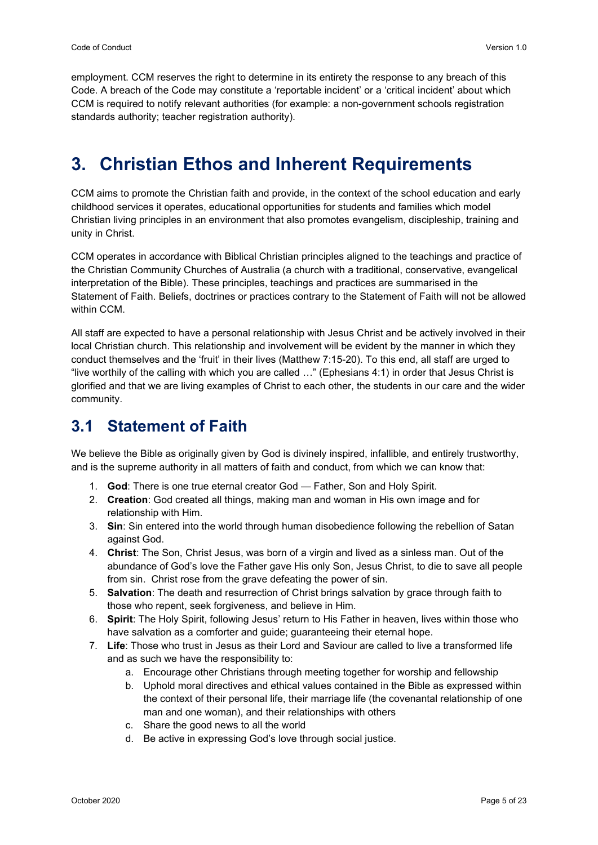employment. CCM reserves the right to determine in its entirety the response to any breach of this Code. A breach of the Code may constitute a 'reportable incident' or a 'critical incident' about which CCM is required to notify relevant authorities (for example: a non-government schools registration standards authority; teacher registration authority).

## <span id="page-5-0"></span>**3. Christian Ethos and Inherent Requirements**

CCM aims to promote the Christian faith and provide, in the context of the school education and early childhood services it operates, educational opportunities for students and families which model Christian living principles in an environment that also promotes evangelism, discipleship, training and unity in Christ.

CCM operates in accordance with Biblical Christian principles aligned to the teachings and practice of the Christian Community Churches of Australia (a church with a traditional, conservative, evangelical interpretation of the Bible). These principles, teachings and practices are summarised in the Statement of Faith. Beliefs, doctrines or practices contrary to the Statement of Faith will not be allowed within CCM.

All staff are expected to have a personal relationship with Jesus Christ and be actively involved in their local Christian church. This relationship and involvement will be evident by the manner in which they conduct themselves and the 'fruit' in their lives (Matthew 7:15-20). To this end, all staff are urged to "live worthily of the calling with which you are called …" (Ephesians 4:1) in order that Jesus Christ is glorified and that we are living examples of Christ to each other, the students in our care and the wider community.

## <span id="page-5-1"></span>**3.1 Statement of Faith**

We believe the Bible as originally given by God is divinely inspired, infallible, and entirely trustworthy, and is the supreme authority in all matters of faith and conduct, from which we can know that:

- 1. **God**: There is one true eternal creator God Father, Son and Holy Spirit.
- 2. **Creation**: God created all things, making man and woman in His own image and for relationship with Him.
- 3. **Sin**: Sin entered into the world through human disobedience following the rebellion of Satan against God.
- 4. **Christ**: The Son, Christ Jesus, was born of a virgin and lived as a sinless man. Out of the abundance of God's love the Father gave His only Son, Jesus Christ, to die to save all people from sin. Christ rose from the grave defeating the power of sin.
- 5. **Salvation**: The death and resurrection of Christ brings salvation by grace through faith to those who repent, seek forgiveness, and believe in Him.
- 6. **Spirit**: The Holy Spirit, following Jesus' return to His Father in heaven, lives within those who have salvation as a comforter and guide; guaranteeing their eternal hope.
- 7. **Life**: Those who trust in Jesus as their Lord and Saviour are called to live a transformed life and as such we have the responsibility to:
	- a. Encourage other Christians through meeting together for worship and fellowship
	- b. Uphold moral directives and ethical values contained in the Bible as expressed within the context of their personal life, their marriage life (the covenantal relationship of one man and one woman), and their relationships with others
	- c. Share the good news to all the world
	- d. Be active in expressing God's love through social justice.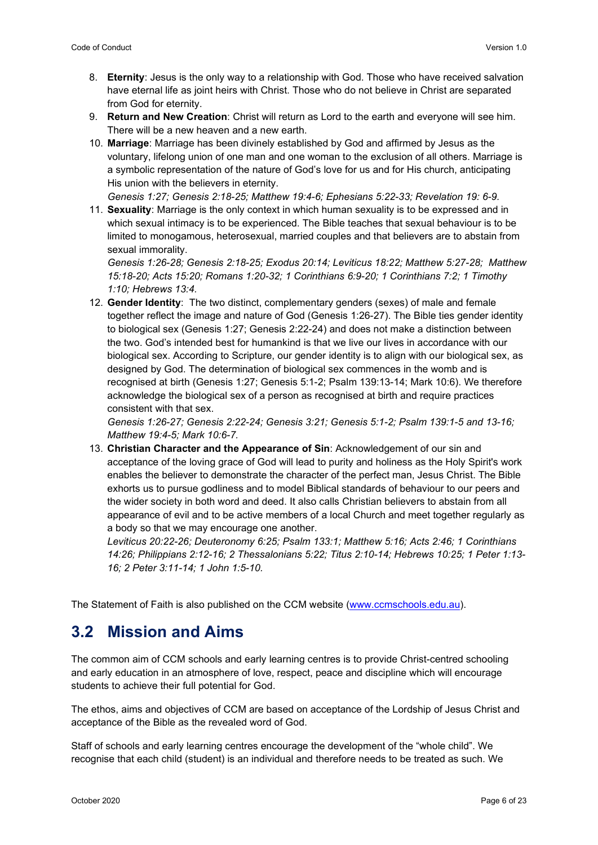- 8. **Eternity**: Jesus is the only way to a relationship with God. Those who have received salvation have eternal life as joint heirs with Christ. Those who do not believe in Christ are separated from God for eternity.
- 9. **Return and New Creation**: Christ will return as Lord to the earth and everyone will see him. There will be a new heaven and a new earth.
- 10. **Marriage**: Marriage has been divinely established by God and affirmed by Jesus as the voluntary, lifelong union of one man and one woman to the exclusion of all others. Marriage is a symbolic representation of the nature of God's love for us and for His church, anticipating His union with the believers in eternity.

*Genesis 1:27; Genesis 2:18-25; Matthew 19:4-6; Ephesians 5:22-33; Revelation 19: 6-9.*

11. **Sexuality**: Marriage is the only context in which human sexuality is to be expressed and in which sexual intimacy is to be experienced. The Bible teaches that sexual behaviour is to be limited to monogamous, heterosexual, married couples and that believers are to abstain from sexual immorality.

*Genesis 1:26-28; Genesis 2:18-25; Exodus 20:14; Leviticus 18:22; Matthew 5:27-28; Matthew 15:18-20; Acts 15:20; Romans 1:20-32; 1 Corinthians 6:9-20; 1 Corinthians 7:2; 1 Timothy 1:10; Hebrews 13:4.*

12. **Gender Identity**: The two distinct, complementary genders (sexes) of male and female together reflect the image and nature of God (Genesis 1:26-27). The Bible ties gender identity to biological sex (Genesis 1:27; Genesis 2:22-24) and does not make a distinction between the two. God's intended best for humankind is that we live our lives in accordance with our biological sex. According to Scripture, our gender identity is to align with our biological sex, as designed by God. The determination of biological sex commences in the womb and is recognised at birth (Genesis 1:27; Genesis 5:1-2; Psalm 139:13-14; Mark 10:6). We therefore acknowledge the biological sex of a person as recognised at birth and require practices consistent with that sex.

*Genesis 1:26-27; Genesis 2:22-24; Genesis 3:21; Genesis 5:1-2; Psalm 139:1-5 and 13-16; Matthew 19:4-5; Mark 10:6-7.*

13. **Christian Character and the Appearance of Sin**: Acknowledgement of our sin and acceptance of the loving grace of God will lead to purity and holiness as the Holy Spirit's work enables the believer to demonstrate the character of the perfect man, Jesus Christ. The Bible exhorts us to pursue godliness and to model Biblical standards of behaviour to our peers and the wider society in both word and deed. It also calls Christian believers to abstain from all appearance of evil and to be active members of a local Church and meet together regularly as a body so that we may encourage one another.

*Leviticus 20:22-26; Deuteronomy 6:25; Psalm 133:1; Matthew 5:16; Acts 2:46; 1 Corinthians 14:26; Philippians 2:12-16; 2 Thessalonians 5:22; Titus 2:10-14; Hebrews 10:25; 1 Peter 1:13- 16; 2 Peter 3:11-14; 1 John 1:5-10.*

The Statement of Faith is also published on the CCM website [\(www.ccmschools.edu.au\)](http://www.ccmschools.edu.au/).

#### <span id="page-6-0"></span>**3.2 Mission and Aims**

The common aim of CCM schools and early learning centres is to provide Christ-centred schooling and early education in an atmosphere of love, respect, peace and discipline which will encourage students to achieve their full potential for God.

The ethos, aims and objectives of CCM are based on acceptance of the Lordship of Jesus Christ and acceptance of the Bible as the revealed word of God.

Staff of schools and early learning centres encourage the development of the "whole child". We recognise that each child (student) is an individual and therefore needs to be treated as such. We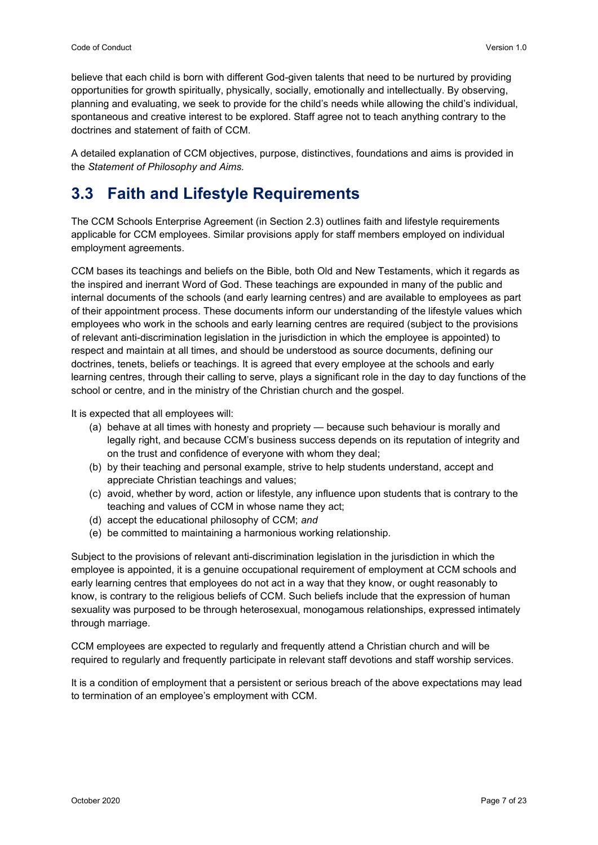believe that each child is born with different God-given talents that need to be nurtured by providing opportunities for growth spiritually, physically, socially, emotionally and intellectually. By observing, planning and evaluating, we seek to provide for the child's needs while allowing the child's individual, spontaneous and creative interest to be explored. Staff agree not to teach anything contrary to the doctrines and statement of faith of CCM.

A detailed explanation of CCM objectives, purpose, distinctives, foundations and aims is provided in the *Statement of Philosophy and Aims.*

## <span id="page-7-0"></span>**3.3 Faith and Lifestyle Requirements**

The CCM Schools Enterprise Agreement (in Section 2.3) outlines faith and lifestyle requirements applicable for CCM employees. Similar provisions apply for staff members employed on individual employment agreements.

CCM bases its teachings and beliefs on the Bible, both Old and New Testaments, which it regards as the inspired and inerrant Word of God. These teachings are expounded in many of the public and internal documents of the schools (and early learning centres) and are available to employees as part of their appointment process. These documents inform our understanding of the lifestyle values which employees who work in the schools and early learning centres are required (subject to the provisions of relevant anti-discrimination legislation in the jurisdiction in which the employee is appointed) to respect and maintain at all times, and should be understood as source documents, defining our doctrines, tenets, beliefs or teachings. It is agreed that every employee at the schools and early learning centres, through their calling to serve, plays a significant role in the day to day functions of the school or centre, and in the ministry of the Christian church and the gospel.

It is expected that all employees will:

- (a) behave at all times with honesty and propriety because such behaviour is morally and legally right, and because CCM's business success depends on its reputation of integrity and on the trust and confidence of everyone with whom they deal;
- (b) by their teaching and personal example, strive to help students understand, accept and appreciate Christian teachings and values;
- (c) avoid, whether by word, action or lifestyle, any influence upon students that is contrary to the teaching and values of CCM in whose name they act;
- (d) accept the educational philosophy of CCM; *and*
- (e) be committed to maintaining a harmonious working relationship.

Subject to the provisions of relevant anti-discrimination legislation in the jurisdiction in which the employee is appointed, it is a genuine occupational requirement of employment at CCM schools and early learning centres that employees do not act in a way that they know, or ought reasonably to know, is contrary to the religious beliefs of CCM. Such beliefs include that the expression of human sexuality was purposed to be through heterosexual, monogamous relationships, expressed intimately through marriage.

CCM employees are expected to regularly and frequently attend a Christian church and will be required to regularly and frequently participate in relevant staff devotions and staff worship services.

It is a condition of employment that a persistent or serious breach of the above expectations may lead to termination of an employee's employment with CCM.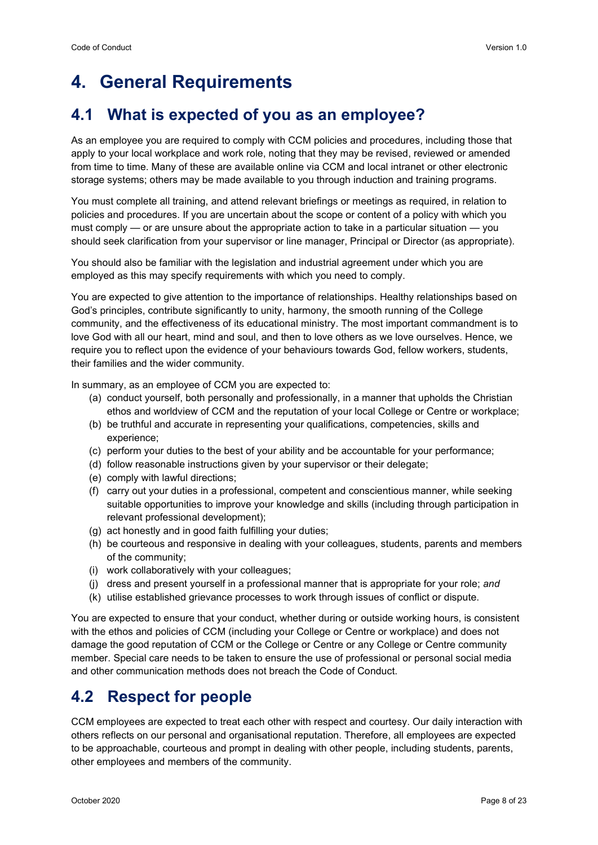## <span id="page-8-0"></span>**4. General Requirements**

## <span id="page-8-1"></span>**4.1 What is expected of you as an employee?**

As an employee you are required to comply with CCM policies and procedures, including those that apply to your local workplace and work role, noting that they may be revised, reviewed or amended from time to time. Many of these are available online via CCM and local intranet or other electronic storage systems; others may be made available to you through induction and training programs.

You must complete all training, and attend relevant briefings or meetings as required, in relation to policies and procedures. If you are uncertain about the scope or content of a policy with which you must comply — or are unsure about the appropriate action to take in a particular situation — you should seek clarification from your supervisor or line manager, Principal or Director (as appropriate).

You should also be familiar with the legislation and industrial agreement under which you are employed as this may specify requirements with which you need to comply.

You are expected to give attention to the importance of relationships. Healthy relationships based on God's principles, contribute significantly to unity, harmony, the smooth running of the College community, and the effectiveness of its educational ministry. The most important commandment is to love God with all our heart, mind and soul, and then to love others as we love ourselves. Hence, we require you to reflect upon the evidence of your behaviours towards God, fellow workers, students, their families and the wider community.

In summary, as an employee of CCM you are expected to:

- (a) conduct yourself, both personally and professionally, in a manner that upholds the Christian ethos and worldview of CCM and the reputation of your local College or Centre or workplace;
- (b) be truthful and accurate in representing your qualifications, competencies, skills and experience;
- (c) perform your duties to the best of your ability and be accountable for your performance;
- (d) follow reasonable instructions given by your supervisor or their delegate;
- (e) comply with lawful directions;
- (f) carry out your duties in a professional, competent and conscientious manner, while seeking suitable opportunities to improve your knowledge and skills (including through participation in relevant professional development);
- (g) act honestly and in good faith fulfilling your duties;
- (h) be courteous and responsive in dealing with your colleagues, students, parents and members of the community;
- (i) work collaboratively with your colleagues;
- (j) dress and present yourself in a professional manner that is appropriate for your role; *and*
- (k) utilise established grievance processes to work through issues of conflict or dispute.

You are expected to ensure that your conduct, whether during or outside working hours, is consistent with the ethos and policies of CCM (including your College or Centre or workplace) and does not damage the good reputation of CCM or the College or Centre or any College or Centre community member. Special care needs to be taken to ensure the use of professional or personal social media and other communication methods does not breach the Code of Conduct.

#### <span id="page-8-2"></span>**4.2 Respect for people**

CCM employees are expected to treat each other with respect and courtesy. Our daily interaction with others reflects on our personal and organisational reputation. Therefore, all employees are expected to be approachable, courteous and prompt in dealing with other people, including students, parents, other employees and members of the community.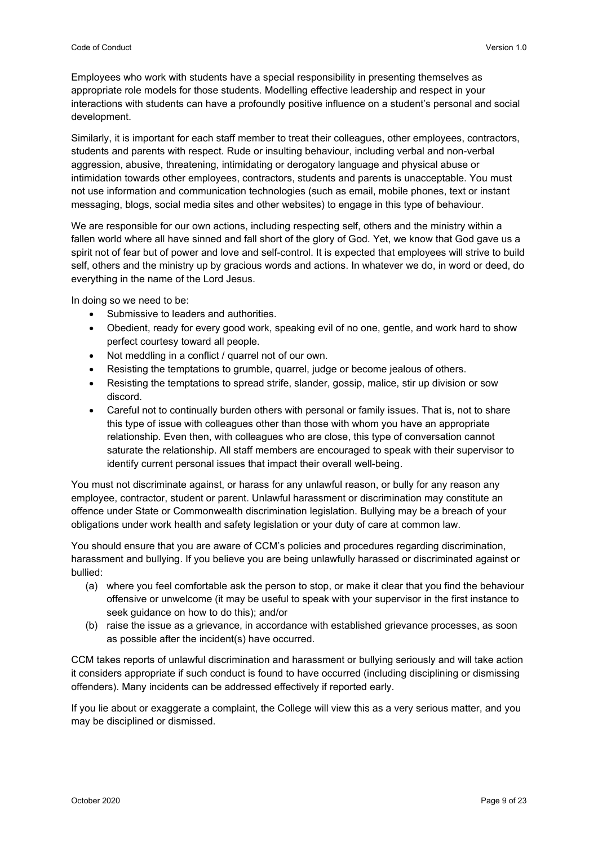Employees who work with students have a special responsibility in presenting themselves as appropriate role models for those students. Modelling effective leadership and respect in your interactions with students can have a profoundly positive influence on a student's personal and social development.

Similarly, it is important for each staff member to treat their colleagues, other employees, contractors, students and parents with respect. Rude or insulting behaviour, including verbal and non-verbal aggression, abusive, threatening, intimidating or derogatory language and physical abuse or intimidation towards other employees, contractors, students and parents is unacceptable. You must not use information and communication technologies (such as email, mobile phones, text or instant messaging, blogs, social media sites and other websites) to engage in this type of behaviour.

We are responsible for our own actions, including respecting self, others and the ministry within a fallen world where all have sinned and fall short of the glory of God. Yet, we know that God gave us a spirit not of fear but of power and love and self-control. It is expected that employees will strive to build self, others and the ministry up by gracious words and actions. In whatever we do, in word or deed, do everything in the name of the Lord Jesus.

In doing so we need to be:

- Submissive to leaders and authorities.
- Obedient, ready for every good work, speaking evil of no one, gentle, and work hard to show perfect courtesy toward all people.
- Not meddling in a conflict / quarrel not of our own.
- Resisting the temptations to grumble, quarrel, judge or become jealous of others.
- Resisting the temptations to spread strife, slander, gossip, malice, stir up division or sow discord.
- Careful not to continually burden others with personal or family issues. That is, not to share this type of issue with colleagues other than those with whom you have an appropriate relationship. Even then, with colleagues who are close, this type of conversation cannot saturate the relationship. All staff members are encouraged to speak with their supervisor to identify current personal issues that impact their overall well-being.

You must not discriminate against, or harass for any unlawful reason, or bully for any reason any employee, contractor, student or parent. Unlawful harassment or discrimination may constitute an offence under State or Commonwealth discrimination legislation. Bullying may be a breach of your obligations under work health and safety legislation or your duty of care at common law.

You should ensure that you are aware of CCM's policies and procedures regarding discrimination, harassment and bullying. If you believe you are being unlawfully harassed or discriminated against or bullied:

- (a) where you feel comfortable ask the person to stop, or make it clear that you find the behaviour offensive or unwelcome (it may be useful to speak with your supervisor in the first instance to seek guidance on how to do this); and/or
- (b) raise the issue as a grievance, in accordance with established grievance processes, as soon as possible after the incident(s) have occurred.

CCM takes reports of unlawful discrimination and harassment or bullying seriously and will take action it considers appropriate if such conduct is found to have occurred (including disciplining or dismissing offenders). Many incidents can be addressed effectively if reported early.

If you lie about or exaggerate a complaint, the College will view this as a very serious matter, and you may be disciplined or dismissed.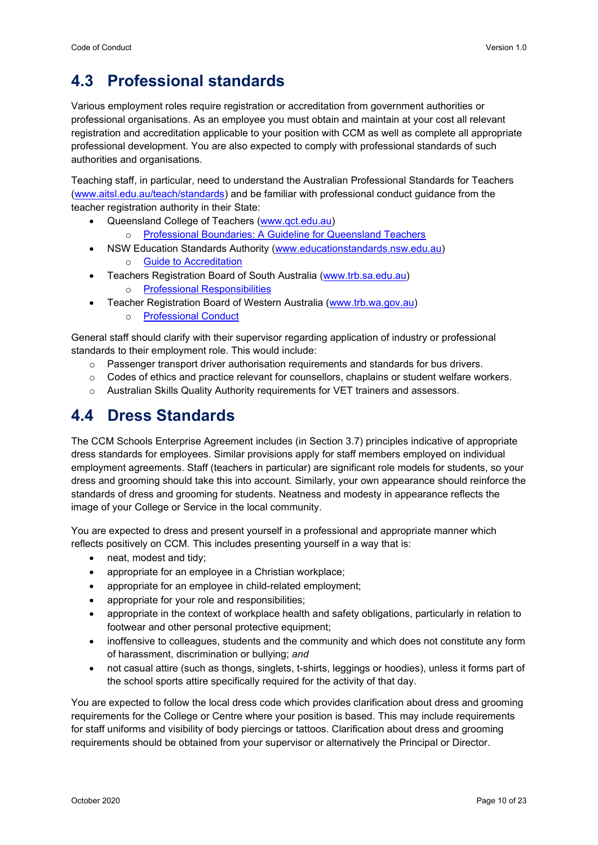## <span id="page-10-0"></span>**4.3 Professional standards**

Various employment roles require registration or accreditation from government authorities or professional organisations. As an employee you must obtain and maintain at your cost all relevant registration and accreditation applicable to your position with CCM as well as complete all appropriate professional development. You are also expected to comply with professional standards of such authorities and organisations.

Teaching staff, in particular, need to understand the Australian Professional Standards for Teachers [\(www.aitsl.edu.au/teach/standards\)](http://www.aitsl.edu.au/teach/standards) and be familiar with professional conduct guidance from the teacher registration authority in their State:

- Queensland College of Teachers [\(www.qct.edu.au\)](http://www.qct.edu.au/)
	- o [Professional Boundaries: A Guideline for Queensland Teachers](http://qct.edu.au/pdf/Professional%20Boundaries%20-%20A%20Guideline%20for%20Queensland%20Teachers.pdf)
- NSW Education Standards Authority [\(www.educationstandards.nsw.edu.au\)](http://www.educationstandards.nsw.edu.au/) o [Guide to Accreditation](https://educationstandards.nsw.edu.au/wps/portal/nesa/teacher-accreditation/how-accreditation-works/!ut/p/z1/04_Sj9CPykssy0xPLMnMz0vMAfIjo8zijRwNzQw9TAy9LYxcDQ0cjb09fAyDfYyMHc30w1EV-LtbABWE-BuaGXmZG_mHmupHEaPfAAdwNCBOPx4FUfiND9ePQrXCwBzsAxMTb1M3A0N3c1N0BVi8SMiSgtzQ0AiDTE8AplATXw!!/dz/d5/L2dBISEvZ0FBIS9nQSEh/)
- Teachers Registration Board of South Australia [\(www.trb.sa.edu.au\)](http://www.trb.sa.edu.au/)
	- o [Professional Responsibilities](https://www.trb.sa.edu.au/)
- Teacher Registration Board of Western Australia [\(www.trb.wa.gov.au\)](http://www.trb.wa.gov.au/)
	- o [Professional Conduct](https://www.trb.wa.gov.au/)

General staff should clarify with their supervisor regarding application of industry or professional standards to their employment role. This would include:

- o Passenger transport driver authorisation requirements and standards for bus drivers.
- $\circ$  Codes of ethics and practice relevant for counsellors, chaplains or student welfare workers.
- o Australian Skills Quality Authority requirements for VET trainers and assessors.

## <span id="page-10-1"></span>**4.4 Dress Standards**

The CCM Schools Enterprise Agreement includes (in Section 3.7) principles indicative of appropriate dress standards for employees. Similar provisions apply for staff members employed on individual employment agreements. Staff (teachers in particular) are significant role models for students, so your dress and grooming should take this into account. Similarly, your own appearance should reinforce the standards of dress and grooming for students. Neatness and modesty in appearance reflects the image of your College or Service in the local community.

You are expected to dress and present yourself in a professional and appropriate manner which reflects positively on CCM. This includes presenting yourself in a way that is:

- neat, modest and tidy;
- appropriate for an employee in a Christian workplace;
- appropriate for an employee in child-related employment;
- appropriate for your role and responsibilities;
- appropriate in the context of workplace health and safety obligations, particularly in relation to footwear and other personal protective equipment;
- inoffensive to colleagues, students and the community and which does not constitute any form of harassment, discrimination or bullying; *and*
- not casual attire (such as thongs, singlets, t-shirts, leggings or hoodies), unless it forms part of the school sports attire specifically required for the activity of that day.

You are expected to follow the local dress code which provides clarification about dress and grooming requirements for the College or Centre where your position is based. This may include requirements for staff uniforms and visibility of body piercings or tattoos. Clarification about dress and grooming requirements should be obtained from your supervisor or alternatively the Principal or Director.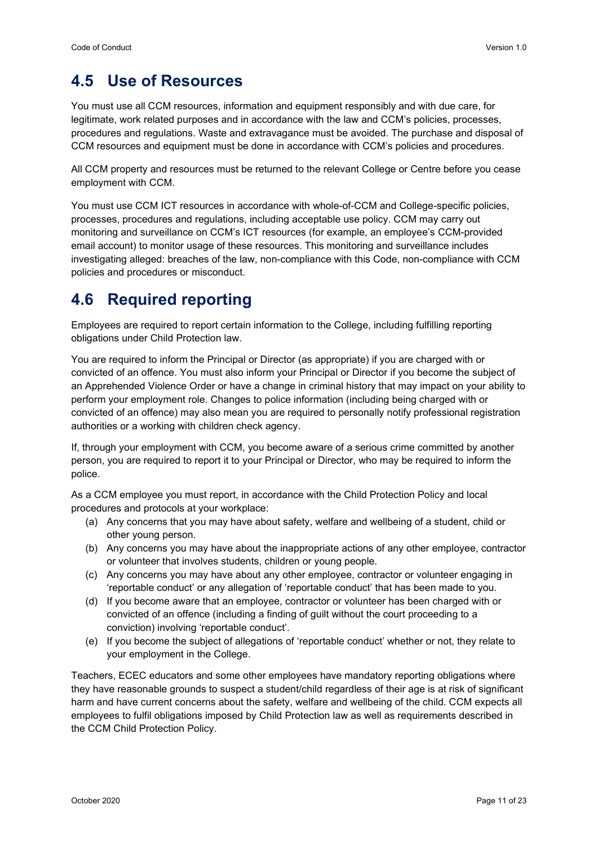## <span id="page-11-0"></span>**4.5 Use of Resources**

You must use all CCM resources, information and equipment responsibly and with due care, for legitimate, work related purposes and in accordance with the law and CCM's policies, processes, procedures and regulations. Waste and extravagance must be avoided. The purchase and disposal of CCM resources and equipment must be done in accordance with CCM's policies and procedures.

All CCM property and resources must be returned to the relevant College or Centre before you cease employment with CCM.

You must use CCM ICT resources in accordance with whole-of-CCM and College-specific policies, processes, procedures and regulations, including acceptable use policy. CCM may carry out monitoring and surveillance on CCM's ICT resources (for example, an employee's CCM-provided email account) to monitor usage of these resources. This monitoring and surveillance includes investigating alleged: breaches of the law, non-compliance with this Code, non-compliance with CCM policies and procedures or misconduct.

#### <span id="page-11-1"></span>**4.6 Required reporting**

Employees are required to report certain information to the College, including fulfilling reporting obligations under Child Protection law.

You are required to inform the Principal or Director (as appropriate) if you are charged with or convicted of an offence. You must also inform your Principal or Director if you become the subject of an Apprehended Violence Order or have a change in criminal history that may impact on your ability to perform your employment role. Changes to police information (including being charged with or convicted of an offence) may also mean you are required to personally notify professional registration authorities or a working with children check agency.

If, through your employment with CCM, you become aware of a serious crime committed by another person, you are required to report it to your Principal or Director, who may be required to inform the police.

As a CCM employee you must report, in accordance with the Child Protection Policy and local procedures and protocols at your workplace:

- (a) Any concerns that you may have about safety, welfare and wellbeing of a student, child or other young person.
- (b) Any concerns you may have about the inappropriate actions of any other employee, contractor or volunteer that involves students, children or young people.
- (c) Any concerns you may have about any other employee, contractor or volunteer engaging in 'reportable conduct' or any allegation of 'reportable conduct' that has been made to you.
- (d) If you become aware that an employee, contractor or volunteer has been charged with or convicted of an offence (including a finding of guilt without the court proceeding to a conviction) involving 'reportable conduct'.
- (e) If you become the subject of allegations of 'reportable conduct' whether or not, they relate to your employment in the College.

Teachers, ECEC educators and some other employees have mandatory reporting obligations where they have reasonable grounds to suspect a student/child regardless of their age is at risk of significant harm and have current concerns about the safety, welfare and wellbeing of the child. CCM expects all employees to fulfil obligations imposed by Child Protection law as well as requirements described in the CCM Child Protection Policy.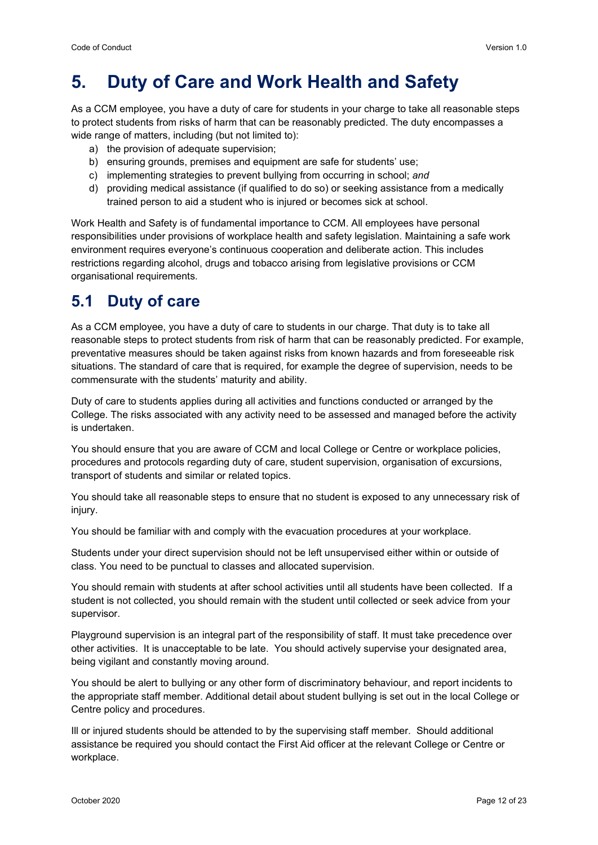## <span id="page-12-0"></span>**5. Duty of Care and Work Health and Safety**

As a CCM employee, you have a duty of care for students in your charge to take all reasonable steps to protect students from risks of harm that can be reasonably predicted. The duty encompasses a wide range of matters, including (but not limited to):

- a) the provision of adequate supervision;
- b) ensuring grounds, premises and equipment are safe for students' use;
- c) implementing strategies to prevent bullying from occurring in school; *and*
- d) providing medical assistance (if qualified to do so) or seeking assistance from a medically trained person to aid a student who is injured or becomes sick at school.

Work Health and Safety is of fundamental importance to CCM. All employees have personal responsibilities under provisions of workplace health and safety legislation. Maintaining a safe work environment requires everyone's continuous cooperation and deliberate action. This includes restrictions regarding alcohol, drugs and tobacco arising from legislative provisions or CCM organisational requirements*.*

#### <span id="page-12-1"></span>**5.1 Duty of care**

As a CCM employee, you have a duty of care to students in our charge. That duty is to take all reasonable steps to protect students from risk of harm that can be reasonably predicted. For example, preventative measures should be taken against risks from known hazards and from foreseeable risk situations. The standard of care that is required, for example the degree of supervision, needs to be commensurate with the students' maturity and ability.

Duty of care to students applies during all activities and functions conducted or arranged by the College. The risks associated with any activity need to be assessed and managed before the activity is undertaken.

You should ensure that you are aware of CCM and local College or Centre or workplace policies, procedures and protocols regarding duty of care, student supervision, organisation of excursions, transport of students and similar or related topics.

You should take all reasonable steps to ensure that no student is exposed to any unnecessary risk of injury.

You should be familiar with and comply with the evacuation procedures at your workplace.

Students under your direct supervision should not be left unsupervised either within or outside of class. You need to be punctual to classes and allocated supervision.

You should remain with students at after school activities until all students have been collected. If a student is not collected, you should remain with the student until collected or seek advice from your supervisor.

Playground supervision is an integral part of the responsibility of staff. It must take precedence over other activities. It is unacceptable to be late. You should actively supervise your designated area, being vigilant and constantly moving around.

You should be alert to bullying or any other form of discriminatory behaviour, and report incidents to the appropriate staff member. Additional detail about student bullying is set out in the local College or Centre policy and procedures.

Ill or injured students should be attended to by the supervising staff member. Should additional assistance be required you should contact the First Aid officer at the relevant College or Centre or workplace.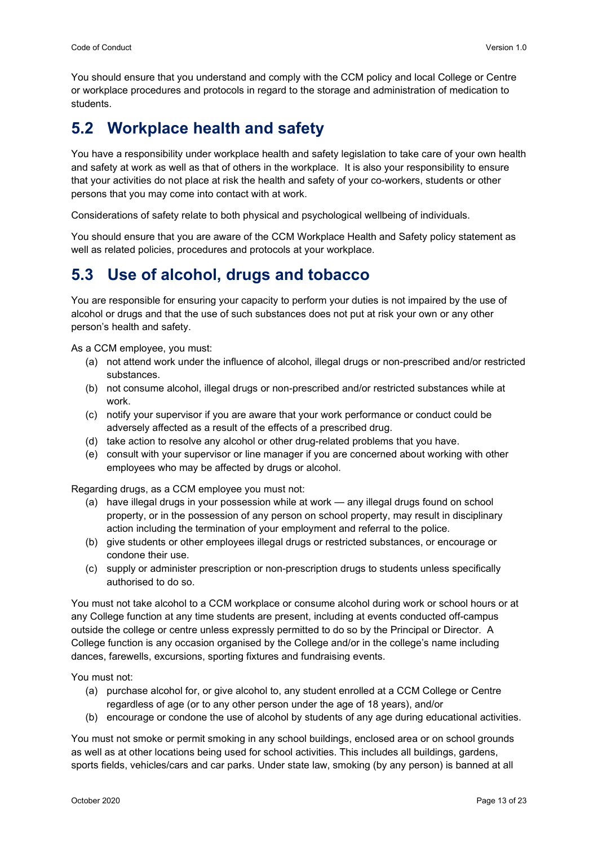You should ensure that you understand and comply with the CCM policy and local College or Centre or workplace procedures and protocols in regard to the storage and administration of medication to students.

## <span id="page-13-0"></span>**5.2 Workplace health and safety**

You have a responsibility under workplace health and safety legislation to take care of your own health and safety at work as well as that of others in the workplace. It is also your responsibility to ensure that your activities do not place at risk the health and safety of your co-workers, students or other persons that you may come into contact with at work.

Considerations of safety relate to both physical and psychological wellbeing of individuals.

You should ensure that you are aware of the CCM Workplace Health and Safety policy statement as well as related policies, procedures and protocols at your workplace.

## <span id="page-13-1"></span>**5.3 Use of alcohol, drugs and tobacco**

You are responsible for ensuring your capacity to perform your duties is not impaired by the use of alcohol or drugs and that the use of such substances does not put at risk your own or any other person's health and safety.

As a CCM employee, you must:

- (a) not attend work under the influence of alcohol, illegal drugs or non-prescribed and/or restricted substances.
- (b) not consume alcohol, illegal drugs or non-prescribed and/or restricted substances while at work.
- (c) notify your supervisor if you are aware that your work performance or conduct could be adversely affected as a result of the effects of a prescribed drug.
- (d) take action to resolve any alcohol or other drug-related problems that you have.
- (e) consult with your supervisor or line manager if you are concerned about working with other employees who may be affected by drugs or alcohol.

Regarding drugs, as a CCM employee you must not:

- (a) have illegal drugs in your possession while at work any illegal drugs found on school property, or in the possession of any person on school property, may result in disciplinary action including the termination of your employment and referral to the police.
- (b) give students or other employees illegal drugs or restricted substances, or encourage or condone their use.
- (c) supply or administer prescription or non-prescription drugs to students unless specifically authorised to do so.

You must not take alcohol to a CCM workplace or consume alcohol during work or school hours or at any College function at any time students are present, including at events conducted off-campus outside the college or centre unless expressly permitted to do so by the Principal or Director. A College function is any occasion organised by the College and/or in the college's name including dances, farewells, excursions, sporting fixtures and fundraising events.

You must not:

- (a) purchase alcohol for, or give alcohol to, any student enrolled at a CCM College or Centre regardless of age (or to any other person under the age of 18 years), and/or
- (b) encourage or condone the use of alcohol by students of any age during educational activities.

You must not smoke or permit smoking in any school buildings, enclosed area or on school grounds as well as at other locations being used for school activities. This includes all buildings, gardens, sports fields, vehicles/cars and car parks. Under state law, smoking (by any person) is banned at all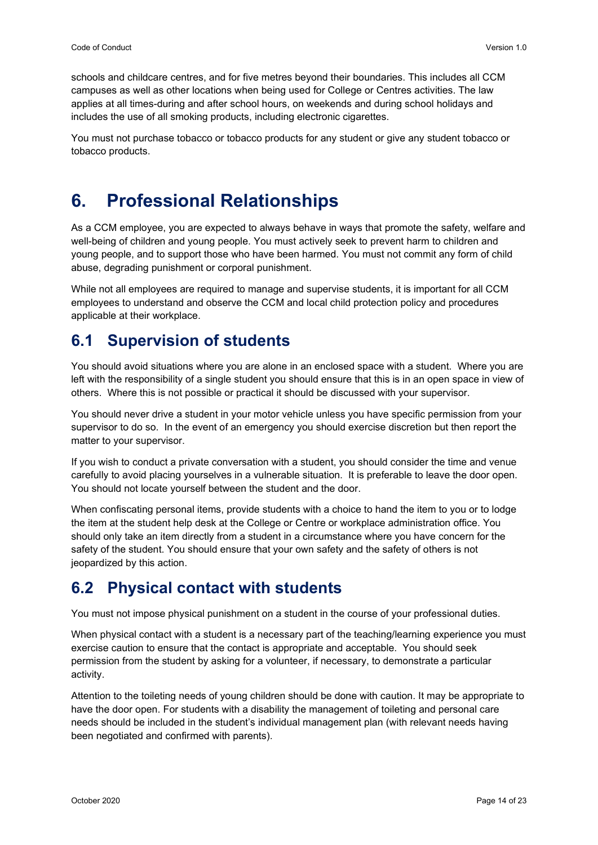schools and childcare centres, and for five metres beyond their boundaries. This includes all CCM campuses as well as other locations when being used for College or Centres activities. The law applies at all times-during and after school hours, on weekends and during school holidays and includes the use of all smoking products, including electronic cigarettes.

You must not purchase tobacco or tobacco products for any student or give any student tobacco or tobacco products.

## <span id="page-14-0"></span>**6. Professional Relationships**

As a CCM employee, you are expected to always behave in ways that promote the safety, welfare and well-being of children and young people. You must actively seek to prevent harm to children and young people, and to support those who have been harmed. You must not commit any form of child abuse, degrading punishment or corporal punishment.

While not all employees are required to manage and supervise students, it is important for all CCM employees to understand and observe the CCM and local child protection policy and procedures applicable at their workplace.

## <span id="page-14-1"></span>**6.1 Supervision of students**

You should avoid situations where you are alone in an enclosed space with a student. Where you are left with the responsibility of a single student you should ensure that this is in an open space in view of others. Where this is not possible or practical it should be discussed with your supervisor.

You should never drive a student in your motor vehicle unless you have specific permission from your supervisor to do so. In the event of an emergency you should exercise discretion but then report the matter to your supervisor.

If you wish to conduct a private conversation with a student, you should consider the time and venue carefully to avoid placing yourselves in a vulnerable situation. It is preferable to leave the door open. You should not locate yourself between the student and the door.

When confiscating personal items, provide students with a choice to hand the item to you or to lodge the item at the student help desk at the College or Centre or workplace administration office. You should only take an item directly from a student in a circumstance where you have concern for the safety of the student. You should ensure that your own safety and the safety of others is not jeopardized by this action.

## <span id="page-14-2"></span>**6.2 Physical contact with students**

You must not impose physical punishment on a student in the course of your professional duties.

When physical contact with a student is a necessary part of the teaching/learning experience you must exercise caution to ensure that the contact is appropriate and acceptable. You should seek permission from the student by asking for a volunteer, if necessary, to demonstrate a particular activity.

Attention to the toileting needs of young children should be done with caution. It may be appropriate to have the door open. For students with a disability the management of toileting and personal care needs should be included in the student's individual management plan (with relevant needs having been negotiated and confirmed with parents).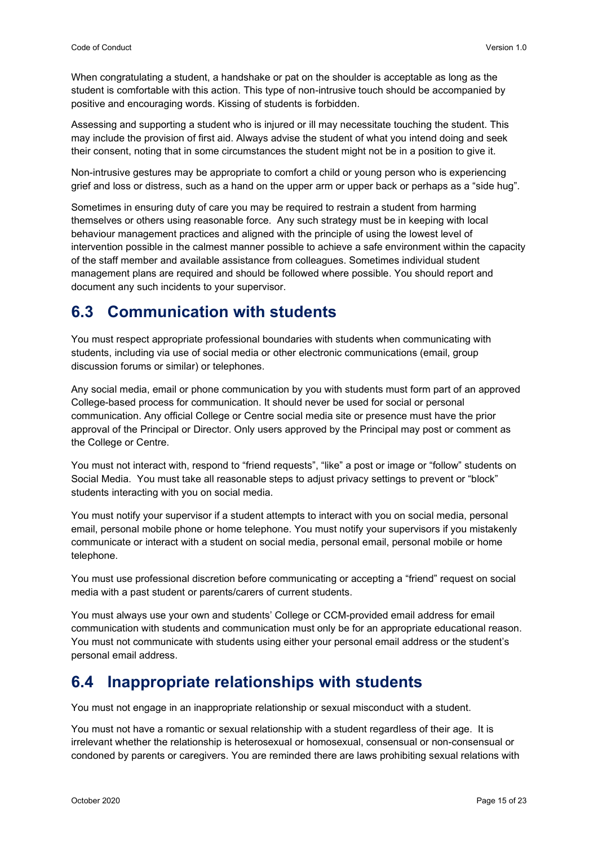When congratulating a student, a handshake or pat on the shoulder is acceptable as long as the student is comfortable with this action. This type of non-intrusive touch should be accompanied by positive and encouraging words. Kissing of students is forbidden.

Assessing and supporting a student who is injured or ill may necessitate touching the student. This may include the provision of first aid. Always advise the student of what you intend doing and seek their consent, noting that in some circumstances the student might not be in a position to give it.

Non-intrusive gestures may be appropriate to comfort a child or young person who is experiencing grief and loss or distress, such as a hand on the upper arm or upper back or perhaps as a "side hug".

Sometimes in ensuring duty of care you may be required to restrain a student from harming themselves or others using reasonable force. Any such strategy must be in keeping with local behaviour management practices and aligned with the principle of using the lowest level of intervention possible in the calmest manner possible to achieve a safe environment within the capacity of the staff member and available assistance from colleagues. Sometimes individual student management plans are required and should be followed where possible. You should report and document any such incidents to your supervisor.

## <span id="page-15-0"></span>**6.3 Communication with students**

You must respect appropriate professional boundaries with students when communicating with students, including via use of social media or other electronic communications (email, group discussion forums or similar) or telephones.

Any social media, email or phone communication by you with students must form part of an approved College-based process for communication. It should never be used for social or personal communication. Any official College or Centre social media site or presence must have the prior approval of the Principal or Director. Only users approved by the Principal may post or comment as the College or Centre.

You must not interact with, respond to "friend requests", "like" a post or image or "follow" students on Social Media. You must take all reasonable steps to adjust privacy settings to prevent or "block" students interacting with you on social media.

You must notify your supervisor if a student attempts to interact with you on social media, personal email, personal mobile phone or home telephone. You must notify your supervisors if you mistakenly communicate or interact with a student on social media, personal email, personal mobile or home telephone.

You must use professional discretion before communicating or accepting a "friend" request on social media with a past student or parents/carers of current students.

You must always use your own and students' College or CCM-provided email address for email communication with students and communication must only be for an appropriate educational reason. You must not communicate with students using either your personal email address or the student's personal email address.

## <span id="page-15-1"></span>**6.4 Inappropriate relationships with students**

You must not engage in an inappropriate relationship or sexual misconduct with a student.

You must not have a romantic or sexual relationship with a student regardless of their age. It is irrelevant whether the relationship is heterosexual or homosexual, consensual or non-consensual or condoned by parents or caregivers. You are reminded there are laws prohibiting sexual relations with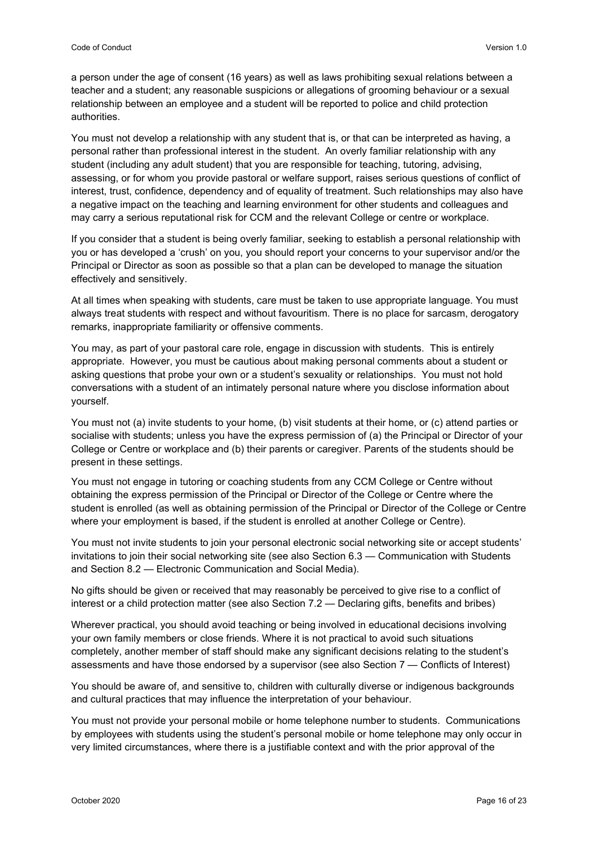a person under the age of consent (16 years) as well as laws prohibiting sexual relations between a teacher and a student; any reasonable suspicions or allegations of grooming behaviour or a sexual relationship between an employee and a student will be reported to police and child protection authorities.

You must not develop a relationship with any student that is, or that can be interpreted as having, a personal rather than professional interest in the student. An overly familiar relationship with any student (including any adult student) that you are responsible for teaching, tutoring, advising, assessing, or for whom you provide pastoral or welfare support, raises serious questions of conflict of interest, trust, confidence, dependency and of equality of treatment. Such relationships may also have a negative impact on the teaching and learning environment for other students and colleagues and may carry a serious reputational risk for CCM and the relevant College or centre or workplace.

If you consider that a student is being overly familiar, seeking to establish a personal relationship with you or has developed a 'crush' on you, you should report your concerns to your supervisor and/or the Principal or Director as soon as possible so that a plan can be developed to manage the situation effectively and sensitively.

At all times when speaking with students, care must be taken to use appropriate language. You must always treat students with respect and without favouritism. There is no place for sarcasm, derogatory remarks, inappropriate familiarity or offensive comments.

You may, as part of your pastoral care role, engage in discussion with students. This is entirely appropriate. However, you must be cautious about making personal comments about a student or asking questions that probe your own or a student's sexuality or relationships. You must not hold conversations with a student of an intimately personal nature where you disclose information about yourself.

You must not (a) invite students to your home, (b) visit students at their home, or (c) attend parties or socialise with students; unless you have the express permission of (a) the Principal or Director of your College or Centre or workplace and (b) their parents or caregiver. Parents of the students should be present in these settings.

You must not engage in tutoring or coaching students from any CCM College or Centre without obtaining the express permission of the Principal or Director of the College or Centre where the student is enrolled (as well as obtaining permission of the Principal or Director of the College or Centre where your employment is based, if the student is enrolled at another College or Centre).

You must not invite students to join your personal electronic social networking site or accept students' invitations to join their social networking site (see also Section 6.3 — Communication with Students and Section 8.2 — Electronic Communication and Social Media).

No gifts should be given or received that may reasonably be perceived to give rise to a conflict of interest or a child protection matter (see also Section 7.2 — Declaring gifts, benefits and bribes)

Wherever practical, you should avoid teaching or being involved in educational decisions involving your own family members or close friends. Where it is not practical to avoid such situations completely, another member of staff should make any significant decisions relating to the student's assessments and have those endorsed by a supervisor (see also Section 7 — Conflicts of Interest)

You should be aware of, and sensitive to, children with culturally diverse or indigenous backgrounds and cultural practices that may influence the interpretation of your behaviour.

You must not provide your personal mobile or home telephone number to students. Communications by employees with students using the student's personal mobile or home telephone may only occur in very limited circumstances, where there is a justifiable context and with the prior approval of the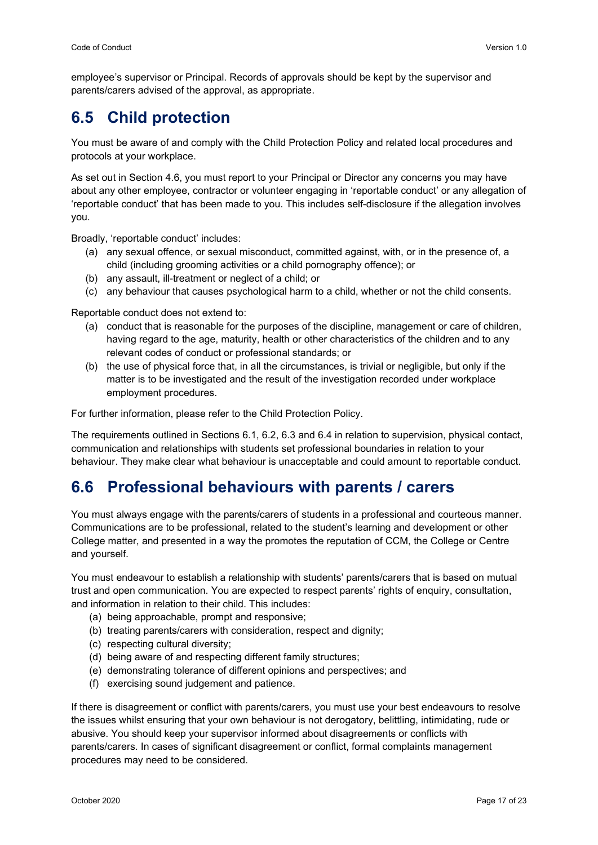employee's supervisor or Principal. Records of approvals should be kept by the supervisor and parents/carers advised of the approval, as appropriate.

## <span id="page-17-0"></span>**6.5 Child protection**

You must be aware of and comply with the Child Protection Policy and related local procedures and protocols at your workplace.

As set out in Section 4.6, you must report to your Principal or Director any concerns you may have about any other employee, contractor or volunteer engaging in 'reportable conduct' or any allegation of 'reportable conduct' that has been made to you. This includes self-disclosure if the allegation involves you.

Broadly, 'reportable conduct' includes:

- (a) any sexual offence, or sexual misconduct, committed against, with, or in the presence of, a child (including grooming activities or a child pornography offence); or
- (b) any assault, ill-treatment or neglect of a child; or
- (c) any behaviour that causes psychological harm to a child, whether or not the child consents.

Reportable conduct does not extend to:

- (a) conduct that is reasonable for the purposes of the discipline, management or care of children, having regard to the age, maturity, health or other characteristics of the children and to any relevant codes of conduct or professional standards; or
- (b) the use of physical force that, in all the circumstances, is trivial or negligible, but only if the matter is to be investigated and the result of the investigation recorded under workplace employment procedures.

For further information, please refer to the Child Protection Policy.

The requirements outlined in Sections 6.1, 6.2, 6.3 and 6.4 in relation to supervision, physical contact, communication and relationships with students set professional boundaries in relation to your behaviour. They make clear what behaviour is unacceptable and could amount to reportable conduct.

#### <span id="page-17-1"></span>**6.6 Professional behaviours with parents / carers**

You must always engage with the parents/carers of students in a professional and courteous manner. Communications are to be professional, related to the student's learning and development or other College matter, and presented in a way the promotes the reputation of CCM, the College or Centre and yourself.

You must endeavour to establish a relationship with students' parents/carers that is based on mutual trust and open communication. You are expected to respect parents' rights of enquiry, consultation, and information in relation to their child. This includes:

- (a) being approachable, prompt and responsive;
- (b) treating parents/carers with consideration, respect and dignity;
- (c) respecting cultural diversity;
- (d) being aware of and respecting different family structures;
- (e) demonstrating tolerance of different opinions and perspectives; and
- (f) exercising sound judgement and patience.

If there is disagreement or conflict with parents/carers, you must use your best endeavours to resolve the issues whilst ensuring that your own behaviour is not derogatory, belittling, intimidating, rude or abusive. You should keep your supervisor informed about disagreements or conflicts with parents/carers. In cases of significant disagreement or conflict, formal complaints management procedures may need to be considered.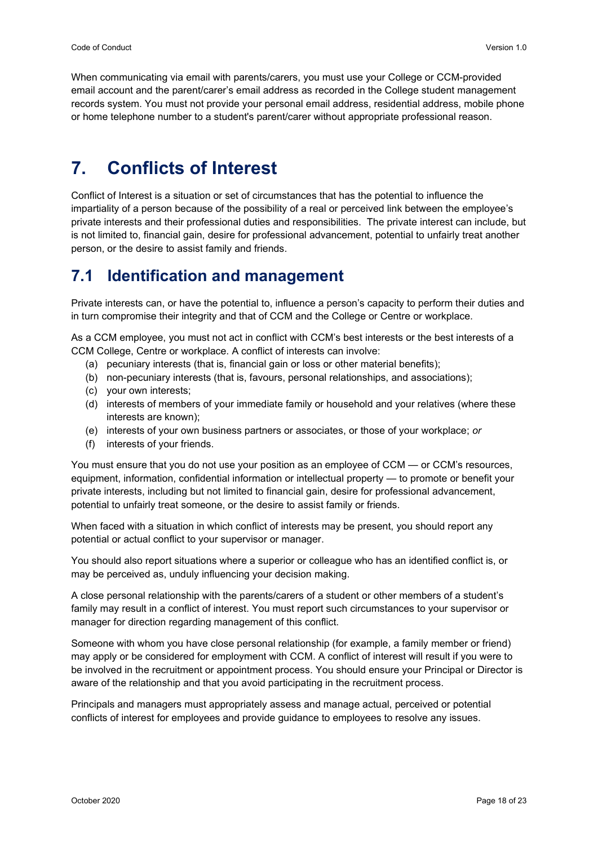When communicating via email with parents/carers, you must use your College or CCM-provided email account and the parent/carer's email address as recorded in the College student management records system. You must not provide your personal email address, residential address, mobile phone or home telephone number to a student's parent/carer without appropriate professional reason.

## <span id="page-18-0"></span>**7. Conflicts of Interest**

Conflict of Interest is a situation or set of circumstances that has the potential to influence the impartiality of a person because of the possibility of a real or perceived link between the employee's private interests and their professional duties and responsibilities. The private interest can include, but is not limited to, financial gain, desire for professional advancement, potential to unfairly treat another person, or the desire to assist family and friends.

## <span id="page-18-1"></span>**7.1 Identification and management**

Private interests can, or have the potential to, influence a person's capacity to perform their duties and in turn compromise their integrity and that of CCM and the College or Centre or workplace.

As a CCM employee, you must not act in conflict with CCM's best interests or the best interests of a CCM College, Centre or workplace. A conflict of interests can involve:

- (a) pecuniary interests (that is, financial gain or loss or other material benefits);
- (b) non-pecuniary interests (that is, favours, personal relationships, and associations);
- (c) your own interests;
- (d) interests of members of your immediate family or household and your relatives (where these interests are known);
- (e) interests of your own business partners or associates, or those of your workplace; *or*
- (f) interests of your friends.

You must ensure that you do not use your position as an employee of CCM — or CCM's resources, equipment, information, confidential information or intellectual property — to promote or benefit your private interests, including but not limited to financial gain, desire for professional advancement, potential to unfairly treat someone, or the desire to assist family or friends.

When faced with a situation in which conflict of interests may be present, you should report any potential or actual conflict to your supervisor or manager.

You should also report situations where a superior or colleague who has an identified conflict is, or may be perceived as, unduly influencing your decision making.

A close personal relationship with the parents/carers of a student or other members of a student's family may result in a conflict of interest. You must report such circumstances to your supervisor or manager for direction regarding management of this conflict.

Someone with whom you have close personal relationship (for example, a family member or friend) may apply or be considered for employment with CCM. A conflict of interest will result if you were to be involved in the recruitment or appointment process. You should ensure your Principal or Director is aware of the relationship and that you avoid participating in the recruitment process.

Principals and managers must appropriately assess and manage actual, perceived or potential conflicts of interest for employees and provide guidance to employees to resolve any issues.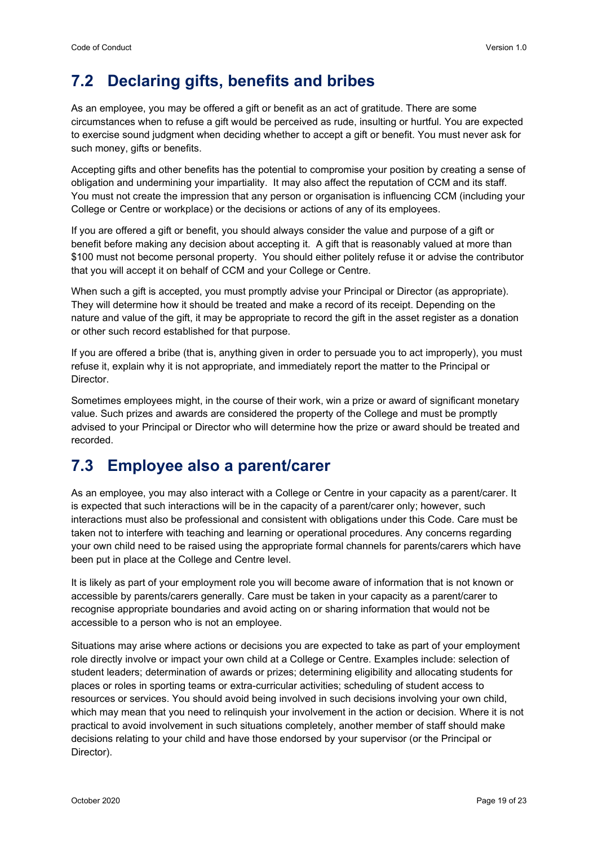## <span id="page-19-0"></span>**7.2 Declaring gifts, benefits and bribes**

As an employee, you may be offered a gift or benefit as an act of gratitude. There are some circumstances when to refuse a gift would be perceived as rude, insulting or hurtful. You are expected to exercise sound judgment when deciding whether to accept a gift or benefit. You must never ask for such money, gifts or benefits.

Accepting gifts and other benefits has the potential to compromise your position by creating a sense of obligation and undermining your impartiality. It may also affect the reputation of CCM and its staff. You must not create the impression that any person or organisation is influencing CCM (including your College or Centre or workplace) or the decisions or actions of any of its employees.

If you are offered a gift or benefit, you should always consider the value and purpose of a gift or benefit before making any decision about accepting it. A gift that is reasonably valued at more than \$100 must not become personal property. You should either politely refuse it or advise the contributor that you will accept it on behalf of CCM and your College or Centre.

When such a gift is accepted, you must promptly advise your Principal or Director (as appropriate). They will determine how it should be treated and make a record of its receipt. Depending on the nature and value of the gift, it may be appropriate to record the gift in the asset register as a donation or other such record established for that purpose.

If you are offered a bribe (that is, anything given in order to persuade you to act improperly), you must refuse it, explain why it is not appropriate, and immediately report the matter to the Principal or Director.

Sometimes employees might, in the course of their work, win a prize or award of significant monetary value. Such prizes and awards are considered the property of the College and must be promptly advised to your Principal or Director who will determine how the prize or award should be treated and recorded.

#### <span id="page-19-1"></span>**7.3 Employee also a parent/carer**

As an employee, you may also interact with a College or Centre in your capacity as a parent/carer. It is expected that such interactions will be in the capacity of a parent/carer only; however, such interactions must also be professional and consistent with obligations under this Code. Care must be taken not to interfere with teaching and learning or operational procedures. Any concerns regarding your own child need to be raised using the appropriate formal channels for parents/carers which have been put in place at the College and Centre level.

It is likely as part of your employment role you will become aware of information that is not known or accessible by parents/carers generally. Care must be taken in your capacity as a parent/carer to recognise appropriate boundaries and avoid acting on or sharing information that would not be accessible to a person who is not an employee.

Situations may arise where actions or decisions you are expected to take as part of your employment role directly involve or impact your own child at a College or Centre. Examples include: selection of student leaders; determination of awards or prizes; determining eligibility and allocating students for places or roles in sporting teams or extra-curricular activities; scheduling of student access to resources or services. You should avoid being involved in such decisions involving your own child, which may mean that you need to relinquish your involvement in the action or decision. Where it is not practical to avoid involvement in such situations completely, another member of staff should make decisions relating to your child and have those endorsed by your supervisor (or the Principal or Director).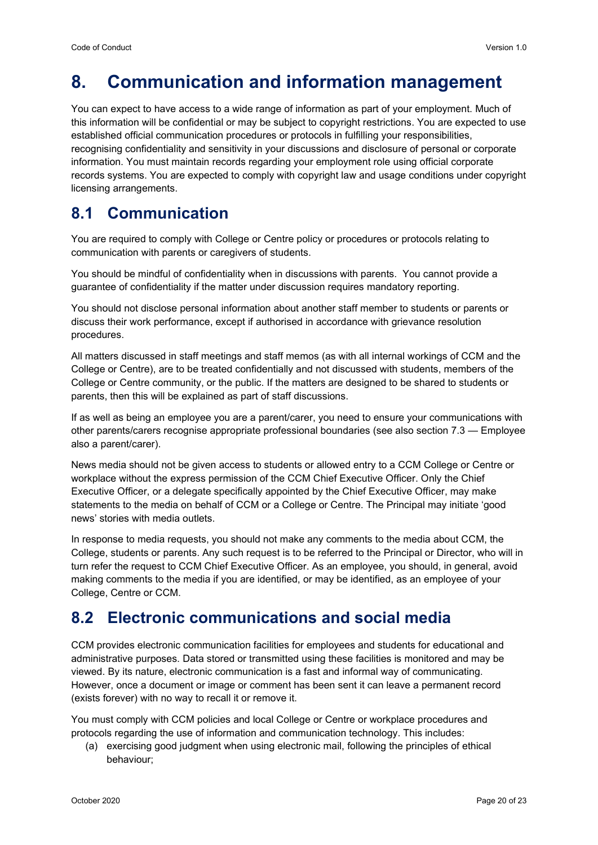## <span id="page-20-0"></span>**8. Communication and information management**

You can expect to have access to a wide range of information as part of your employment. Much of this information will be confidential or may be subject to copyright restrictions. You are expected to use established official communication procedures or protocols in fulfilling your responsibilities, recognising confidentiality and sensitivity in your discussions and disclosure of personal or corporate information. You must maintain records regarding your employment role using official corporate records systems. You are expected to comply with copyright law and usage conditions under copyright licensing arrangements.

#### <span id="page-20-1"></span>**8.1 Communication**

You are required to comply with College or Centre policy or procedures or protocols relating to communication with parents or caregivers of students.

You should be mindful of confidentiality when in discussions with parents. You cannot provide a guarantee of confidentiality if the matter under discussion requires mandatory reporting.

You should not disclose personal information about another staff member to students or parents or discuss their work performance, except if authorised in accordance with grievance resolution procedures.

All matters discussed in staff meetings and staff memos (as with all internal workings of CCM and the College or Centre), are to be treated confidentially and not discussed with students, members of the College or Centre community, or the public. If the matters are designed to be shared to students or parents, then this will be explained as part of staff discussions.

If as well as being an employee you are a parent/carer, you need to ensure your communications with other parents/carers recognise appropriate professional boundaries (see also section 7.3 — Employee also a parent/carer).

News media should not be given access to students or allowed entry to a CCM College or Centre or workplace without the express permission of the CCM Chief Executive Officer. Only the Chief Executive Officer, or a delegate specifically appointed by the Chief Executive Officer, may make statements to the media on behalf of CCM or a College or Centre. The Principal may initiate 'good news' stories with media outlets.

In response to media requests, you should not make any comments to the media about CCM, the College, students or parents. Any such request is to be referred to the Principal or Director, who will in turn refer the request to CCM Chief Executive Officer. As an employee, you should, in general, avoid making comments to the media if you are identified, or may be identified, as an employee of your College, Centre or CCM.

## <span id="page-20-2"></span>**8.2 Electronic communications and social media**

CCM provides electronic communication facilities for employees and students for educational and administrative purposes. Data stored or transmitted using these facilities is monitored and may be viewed. By its nature, electronic communication is a fast and informal way of communicating. However, once a document or image or comment has been sent it can leave a permanent record (exists forever) with no way to recall it or remove it.

You must comply with CCM policies and local College or Centre or workplace procedures and protocols regarding the use of information and communication technology. This includes:

(a) exercising good judgment when using electronic mail, following the principles of ethical behaviour;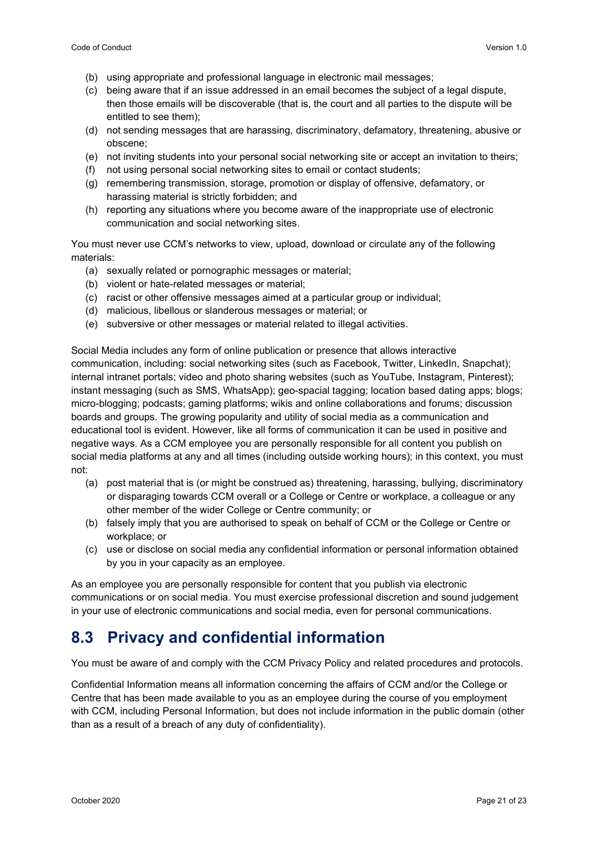- (b) using appropriate and professional language in electronic mail messages;
- (c) being aware that if an issue addressed in an email becomes the subject of a legal dispute, then those emails will be discoverable (that is, the court and all parties to the dispute will be entitled to see them);
- (d) not sending messages that are harassing, discriminatory, defamatory, threatening, abusive or obscene;
- (e) not inviting students into your personal social networking site or accept an invitation to theirs;
- (f) not using personal social networking sites to email or contact students;
- (g) remembering transmission, storage, promotion or display of offensive, defamatory, or harassing material is strictly forbidden; and
- (h) reporting any situations where you become aware of the inappropriate use of electronic communication and social networking sites.

You must never use CCM's networks to view, upload, download or circulate any of the following materials:

- (a) sexually related or pornographic messages or material;
- (b) violent or hate-related messages or material;
- (c) racist or other offensive messages aimed at a particular group or individual;
- (d) malicious, libellous or slanderous messages or material; or
- (e) subversive or other messages or material related to illegal activities.

Social Media includes any form of online publication or presence that allows interactive communication, including: social networking sites (such as Facebook, Twitter, LinkedIn, Snapchat); internal intranet portals; video and photo sharing websites (such as YouTube, Instagram, Pinterest); instant messaging (such as SMS, WhatsApp); geo-spacial tagging; location based dating apps; blogs; micro-blogging; podcasts; gaming platforms; wikis and online collaborations and forums; discussion boards and groups. The growing popularity and utility of social media as a communication and educational tool is evident. However, like all forms of communication it can be used in positive and negative ways. As a CCM employee you are personally responsible for all content you publish on social media platforms at any and all times (including outside working hours); in this context, you must not:

- (a) post material that is (or might be construed as) threatening, harassing, bullying, discriminatory or disparaging towards CCM overall or a College or Centre or workplace, a colleague or any other member of the wider College or Centre community; or
- (b) falsely imply that you are authorised to speak on behalf of CCM or the College or Centre or workplace; or
- (c) use or disclose on social media any confidential information or personal information obtained by you in your capacity as an employee.

As an employee you are personally responsible for content that you publish via electronic communications or on social media. You must exercise professional discretion and sound judgement in your use of electronic communications and social media, even for personal communications.

#### <span id="page-21-0"></span>**8.3 Privacy and confidential information**

You must be aware of and comply with the CCM Privacy Policy and related procedures and protocols.

Confidential Information means all information concerning the affairs of CCM and/or the College or Centre that has been made available to you as an employee during the course of you employment with CCM, including Personal Information, but does not include information in the public domain (other than as a result of a breach of any duty of confidentiality).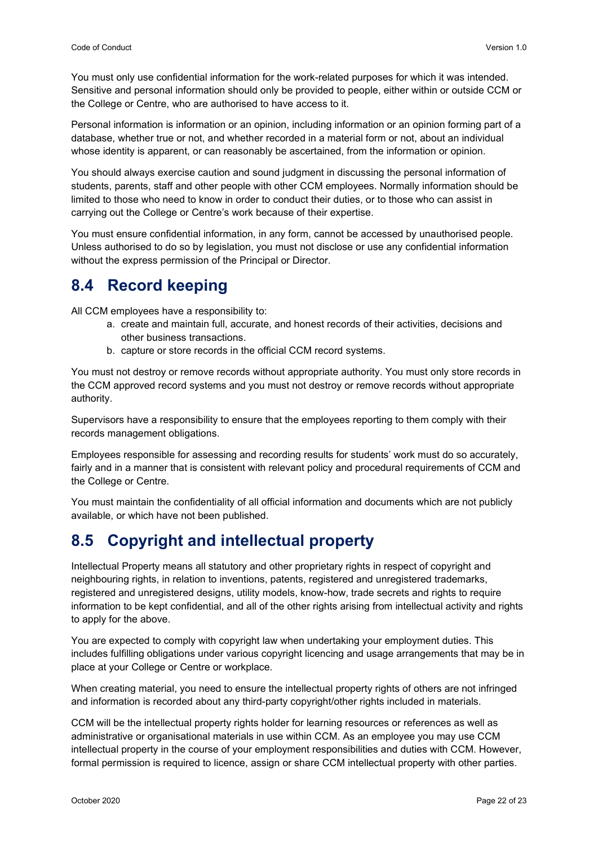You must only use confidential information for the work-related purposes for which it was intended. Sensitive and personal information should only be provided to people, either within or outside CCM or the College or Centre, who are authorised to have access to it.

Personal information is information or an opinion, including information or an opinion forming part of a database, whether true or not, and whether recorded in a material form or not, about an individual whose identity is apparent, or can reasonably be ascertained, from the information or opinion.

You should always exercise caution and sound judgment in discussing the personal information of students, parents, staff and other people with other CCM employees. Normally information should be limited to those who need to know in order to conduct their duties, or to those who can assist in carrying out the College or Centre's work because of their expertise.

You must ensure confidential information, in any form, cannot be accessed by unauthorised people. Unless authorised to do so by legislation, you must not disclose or use any confidential information without the express permission of the Principal or Director.

#### <span id="page-22-0"></span>**8.4 Record keeping**

All CCM employees have a responsibility to:

- a. create and maintain full, accurate, and honest records of their activities, decisions and other business transactions.
- b. capture or store records in the official CCM record systems.

You must not destroy or remove records without appropriate authority. You must only store records in the CCM approved record systems and you must not destroy or remove records without appropriate authority.

Supervisors have a responsibility to ensure that the employees reporting to them comply with their records management obligations.

Employees responsible for assessing and recording results for students' work must do so accurately, fairly and in a manner that is consistent with relevant policy and procedural requirements of CCM and the College or Centre.

You must maintain the confidentiality of all official information and documents which are not publicly available, or which have not been published.

## <span id="page-22-1"></span>**8.5 Copyright and intellectual property**

Intellectual Property means all statutory and other proprietary rights in respect of copyright and neighbouring rights, in relation to inventions, patents, registered and unregistered trademarks, registered and unregistered designs, utility models, know-how, trade secrets and rights to require information to be kept confidential, and all of the other rights arising from intellectual activity and rights to apply for the above.

You are expected to comply with copyright law when undertaking your employment duties. This includes fulfilling obligations under various copyright licencing and usage arrangements that may be in place at your College or Centre or workplace.

When creating material, you need to ensure the intellectual property rights of others are not infringed and information is recorded about any third-party copyright/other rights included in materials.

CCM will be the intellectual property rights holder for learning resources or references as well as administrative or organisational materials in use within CCM. As an employee you may use CCM intellectual property in the course of your employment responsibilities and duties with CCM. However, formal permission is required to licence, assign or share CCM intellectual property with other parties.